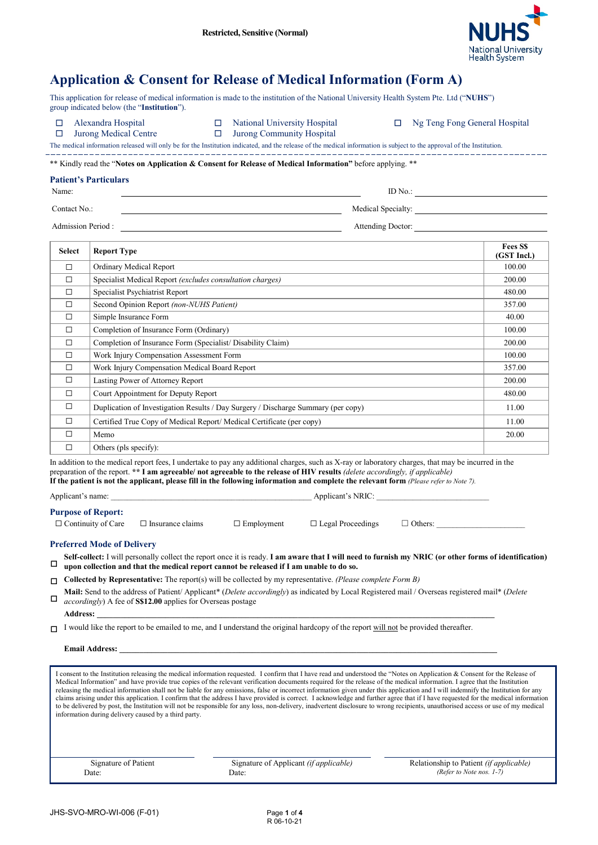

# **Application & Consent for Release of Medical Information (Form A)**

This application for release of medical information is made to the institution of the National University Health System Pte. Ltd ("**NUHS**") group indicated below (the "**Institution**").

- 
- 

- Jurong Medic
- 

☐ Alexandra Hospital ☐ National University Hospital ☐ Ng Teng Fong General Hospital

| Medical Centre |  |  |  |  |  |  | $\Box$ Jurong Communit |  |
|----------------|--|--|--|--|--|--|------------------------|--|
|                |  |  |  |  |  |  |                        |  |

The medical information released will only be for the Institution indicated, and the release of the medical information is subject to the approval of the Institution.

\*\* Kindly read the "**Notes on Application & Consent for Release of Medical Information"** before applying. \*\*

## **Patient's Particulars**

Name: ID No.:

Contact No.: Medical Specialty: Medical Specialty:

Admission Period : Attending Doctor: Attending Doctor:

| <b>Select</b> | <b>Report Type</b>                                                                | <b>Fees SS</b><br>(GST Incl.) |
|---------------|-----------------------------------------------------------------------------------|-------------------------------|
| $\Box$        | Ordinary Medical Report                                                           | 100.00                        |
| $\Box$        | Specialist Medical Report (excludes consultation charges)                         | 200.00                        |
| □             | Specialist Psychiatrist Report                                                    | 480.00                        |
| $\Box$        | Second Opinion Report (non-NUHS Patient)                                          | 357.00                        |
| $\Box$        | Simple Insurance Form                                                             | 40.00                         |
| $\Box$        | Completion of Insurance Form (Ordinary)                                           | 100.00                        |
| $\Box$        | Completion of Insurance Form (Specialist/ Disability Claim)                       | 200.00                        |
| $\Box$        | Work Injury Compensation Assessment Form                                          | 100.00                        |
| $\Box$        | Work Injury Compensation Medical Board Report                                     | 357.00                        |
| $\Box$        | Lasting Power of Attorney Report                                                  | 200.00                        |
| $\Box$        | Court Appointment for Deputy Report                                               | 480.00                        |
| $\Box$        | Duplication of Investigation Results / Day Surgery / Discharge Summary (per copy) | 11.00                         |
| $\Box$        | Certified True Copy of Medical Report/ Medical Certificate (per copy)             | 11.00                         |
| $\Box$        | Memo                                                                              | 20.00                         |
| □             | Others (pls specify):                                                             |                               |

In addition to the medical report fees, I undertake to pay any additional charges, such as X-ray or laboratory charges, that may be incurred in the preparation of the report. **\*\* I am agreeable/ not agreeable to the release of HIV results** *(delete accordingly, if applicable)* **If the patient is not the applicant, please fill in the following information and complete the relevant form** *(Please refer to Note 7).*

## **Purpose of Report:**

| Care<br>`∩nt.<br>$\cdots$ | Insu<br>. ance | egal |  |
|---------------------------|----------------|------|--|

## **Preferred Mode of Delivery**

☐ **Self-collect:** I will personally collect the report once it is ready. **I am aware that I will need to furnish my NRIC (or other forms of identification) upon collection and that the medical report cannot be released if I am unable to do so.**

☐ **Collected by Representative:** The report(s) will be collected by my representative. *(Please complete Form B)*

Applicant's name: \_\_\_\_\_\_\_\_\_\_\_\_\_\_\_\_\_\_\_\_\_\_\_\_\_\_\_\_\_\_\_\_\_\_\_\_\_\_\_\_\_\_\_\_\_\_\_\_\_\_ Applicant's NRIC: \_\_\_\_\_\_\_\_\_\_\_\_\_\_\_\_\_\_\_\_\_\_\_\_\_\_\_\_

☐ **Mail:** Send to the address of Patient/ Applicant\* (*Delete accordingly*) as indicated by Local Registered mail / Overseas registered mail\* (*Delete accordingly*) A fee of **S\$12.00** applies for Overseas postage

## **Address: \_\_\_\_\_\_\_\_\_\_\_\_\_\_\_\_\_\_\_\_\_\_\_\_\_\_\_\_\_\_\_\_\_\_\_\_\_\_\_\_\_\_\_\_\_\_\_\_\_\_\_\_\_\_\_\_\_\_\_\_\_\_\_\_\_\_\_\_\_\_\_\_\_\_\_\_\_\_\_\_\_\_\_\_\_\_\_\_\_\_\_\_\_\_\_\_\_\_\_**

□ I would like the report to be emailed to me, and I understand the original hardcopy of the report will not be provided thereafter.

# **Email Address: \_\_\_\_\_\_\_\_\_\_\_\_\_\_\_\_\_\_\_\_\_\_\_\_\_\_\_\_\_\_\_\_\_\_\_\_\_\_\_\_\_\_\_\_\_\_\_\_\_\_\_\_\_\_\_\_\_\_\_\_\_\_\_\_\_\_\_\_\_\_\_\_\_\_\_\_\_\_\_\_\_\_\_\_\_\_\_\_\_\_\_\_\_\_**

I consent to the Institution releasing the medical information requested. I confirm that I have read and understood the "Notes on Application & Consent for the Release of Medical Information" and have provide true copies of the relevant verification documents required for the release of the medical information. I agree that the Institution releasing the medical information shall not be liable for any omissions, false or incorrect information given under this application and I will indemnify the Institution for any claims arising under this application. I confirm that the address I have provided is correct. I acknowledge and further agree that if I have requested for the medical information to be delivered by post, the Institution will not be responsible for any loss, non-delivery, inadvertent disclosure to wrong recipients, unauthorised access or use of my medical information during delivery caused by a third party.

Signature of Patient Date:

Signature of Applicant *(if applicable)* Date:

Relationship to Patient *(if applicable) (Refer to Note nos. 1-7)*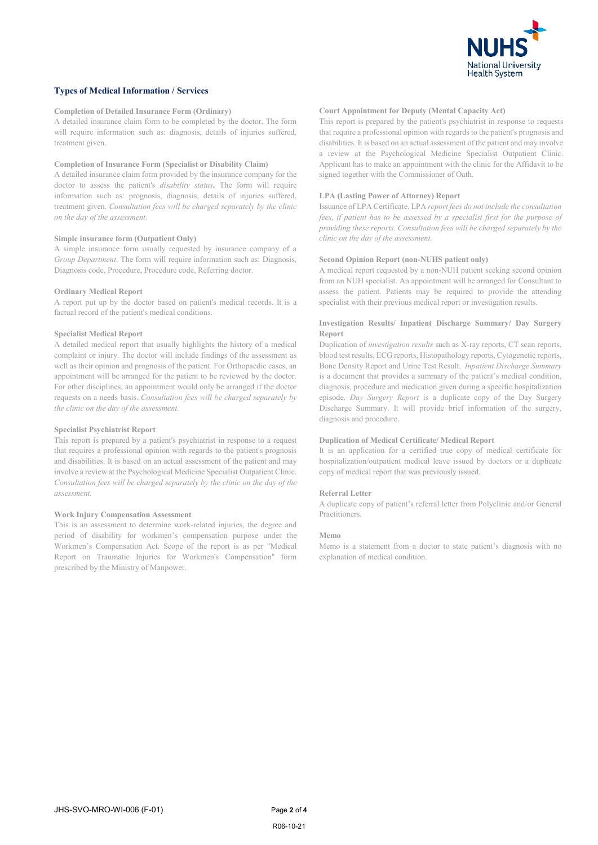

## **Types of Medical Information / Services**

#### **Completion of Detailed Insurance Form (Ordinary)**

A detailed insurance claim form to be completed by the doctor. The form will require information such as: diagnosis, details of injuries suffered, treatment given.

#### **Completion of Insurance Form (Specialist or Disability Claim)**

A detailed insurance claim form provided by the insurance company for the doctor to assess the patient's *disability status***.** The form will require information such as: prognosis, diagnosis, details of injuries suffered, treatment given. *Consultation fees will be charged separately by the clinic on the day of the assessment.*

## **Simple insurance form (Outpatient Only)**

A simple insurance form usually requested by insurance company of a *Group Department*. The form will require information such as: Diagnosis, Diagnosis code, Procedure, Procedure code, Referring doctor.

## **Ordinary Medical Report**

A report put up by the doctor based on patient's medical records. It is a factual record of the patient's medical conditions.

#### **Specialist Medical Report**

A detailed medical report that usually highlights the history of a medical complaint or injury. The doctor will include findings of the assessment as well as their opinion and prognosis of the patient. For Orthopaedic cases, an appointment will be arranged for the patient to be reviewed by the doctor. For other disciplines, an appointment would only be arranged if the doctor requests on a needs basis. *Consultation fees will be charged separately by the clinic on the day of the assessment.*

#### **Specialist Psychiatrist Report**

This report is prepared by a patient's psychiatrist in response to a request that requires a professional opinion with regards to the patient's prognosis and disabilities. It is based on an actual assessment of the patient and may involve a review at the Psychological Medicine Specialist Outpatient Clinic. *Consultation fees will be charged separately by the clinic on the day of the assessment.*

## **Work Injury Compensation Assessment**

This is an assessment to determine work-related injuries, the degree and period of disability for workmen's compensation purpose under the Workmen's Compensation Act. Scope of the report is as per "Medical Report on Traumatic Injuries for Workmen's Compensation" form prescribed by the Ministry of Manpower.

## **Court Appointment for Deputy (Mental Capacity Act)**

This report is prepared by the patient's psychiatrist in response to requests that require a professional opinion with regards to the patient's prognosis and disabilities. It is based on an actual assessment of the patient and may involve a review at the Psychological Medicine Specialist Outpatient Clinic. Applicant has to make an appointment with the clinic for the Affidavit to be signed together with the Commissioner of Oath.

## **LPA (Lasting Power of Attorney) Report**

Issuance of LPA Certificate. LPA *report fees do not include the consultation fees, if patient has to be assessed by a specialist first for the purpose of providing these reports. Consultation fees will be charged separately by the clinic on the day of the assessment.*

## **Second Opinion Report (non-NUHS patient only)**

A medical report requested by a non-NUH patient seeking second opinion from an NUH specialist. An appointment will be arranged for Consultant to assess the patient. Patients may be required to provide the attending specialist with their previous medical report or investigation results.

## **Investigation Results/ Inpatient Discharge Summary/ Day Surgery Report**

Duplication of *investigation results* such as X-ray reports, CT scan reports, blood test results, ECG reports, Histopathology reports, Cytogenetic reports, Bone Density Report and Urine Test Result. *Inpatient Discharge Summary* is a document that provides a summary of the patient's medical condition, diagnosis, procedure and medication given during a specific hospitalization episode. *Day Surgery Report* is a duplicate copy of the Day Surgery Discharge Summary. It will provide brief information of the surgery, diagnosis and procedure.

#### **Duplication of Medical Certificate/ Medical Report**

It is an application for a certified true copy of medical certificate for hospitalization/outpatient medical leave issued by doctors or a duplicate copy of medical report that was previously issued.

#### **Referral Letter**

A duplicate copy of patient's referral letter from Polyclinic and/or General Practitioners.

#### **Memo**

Memo is a statement from a doctor to state patient's diagnosis with no explanation of medical condition.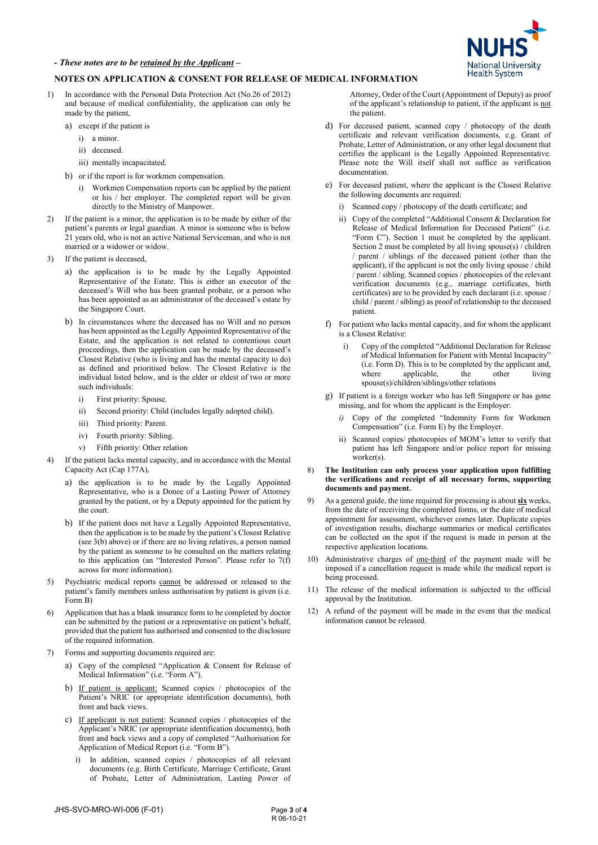

## **NOTES ON APPLICATION & CONSENT FOR RELEASE OF MEDICAL INFORMATION**

- 1) In accordance with the Personal Data Protection Act (No.26 of 2012) and because of medical confidentiality, the application can only be made by the patient,
	- a) except if the patient is
		- i) a minor.
		- ii) deceased.
		- iii) mentally incapacitated.
	- b) or if the report is for workmen compensation.
		- i) Workmen Compensation reports can be applied by the patient or his / her employer. The completed report will be given directly to the Ministry of Manpower.
- 2) If the patient is a minor, the application is to be made by either of the patient's parents or legal guardian. A minor is someone who is below 21 years old, who is not an active National Serviceman, and who is not married or a widower or widow.
- 3) If the patient is deceased,
	- a) the application is to be made by the Legally Appointed Representative of the Estate. This is either an executor of the deceased's Will who has been granted probate, or a person who has been appointed as an administrator of the deceased's estate by the Singapore Court.
	- b) In circumstances where the deceased has no Will and no person has been appointed as the Legally Appointed Representative of the Estate, and the application is not related to contentious court proceedings, then the application can be made by the deceased's Closest Relative (who is living and has the mental capacity to do) as defined and prioritised below. The Closest Relative is the individual listed below, and is the elder or eldest of two or more such individuals:
		- i) First priority: Spouse.
		- ii) Second priority: Child (includes legally adopted child).
		- iii) Third priority: Parent.
		- iv) Fourth priority: Sibling.
		- v) Fifth priority: Other relation
- If the patient lacks mental capacity, and in accordance with the Mental Capacity Act (Cap 177A),
	- a) the application is to be made by the Legally Appointed Representative, who is a Donee of a Lasting Power of Attorney granted by the patient, or by a Deputy appointed for the patient by the court.
	- b) If the patient does not have a Legally Appointed Representative, then the application is to be made by the patient's Closest Relative (see 3(b) above) or if there are no living relatives, a person named by the patient as someone to be consulted on the matters relating to this application (an "Interested Person". Please refer to 7(f) across for more information).
- 5) Psychiatric medical reports cannot be addressed or released to the patient's family members unless authorisation by patient is given (i.e. Form B)
- 6) Application that has a blank insurance form to be completed by doctor can be submitted by the patient or a representative on patient's behalf, provided that the patient has authorised and consented to the disclosure of the required information.
- Forms and supporting documents required are:
	- a) Copy of the completed "Application & Consent for Release of Medical Information" (i.e. "Form A").
	- b) If patient is applicant: Scanned copies / photocopies of the Patient's NRIC (or appropriate identification documents), both front and back views.
	- c) If applicant is not patient: Scanned copies / photocopies of the Applicant's NRIC (or appropriate identification documents), both front and back views and a copy of completed "Authorisation for Application of Medical Report (i.e. "Form B").
		- In addition, scanned copies / photocopies of all relevant documents (e.g. Birth Certificate, Marriage Certificate, Grant of Probate, Letter of Administration, Lasting Power of

Attorney, Order of the Court (Appointment of Deputy) as proof of the applicant's relationship to patient, if the applicant is not the patient.

- d) For deceased patient, scanned copy / photocopy of the death certificate and relevant verification documents, e.g. Grant of Probate, Letter of Administration, or any other legal document that certifies the applicant is the Legally Appointed Representative. Please note the Will itself shall not suffice as verification documentation.
- e) For deceased patient, where the applicant is the Closest Relative the following documents are required:
	- i) Scanned copy / photocopy of the death certificate; and
	- ii) Copy of the completed "Additional Consent & Declaration for Release of Medical Information for Deceased Patient" (i.e. "Form C"). Section 1 must be completed by the applicant. Section 2 must be completed by all living spouse(s) / children / parent / siblings of the deceased patient (other than the applicant), if the applicant is not the only living spouse / child / parent / sibling. Scanned copies / photocopies of the relevant verification documents (e.g., marriage certificates, birth certificates) are to be provided by each declarant (i.e. spouse / child / parent / sibling) as proof of relationship to the deceased patient.
- f) For patient who lacks mental capacity, and for whom the applicant is a Closest Relative:
	- Copy of the completed "Additional Declaration for Release of Medical Information for Patient with Mental Incapacity" (i.e. Form D). This is to be completed by the applicant and,<br>where applicable. the other living where applicable, spouse(s)/children/siblings/other relations
- g) If patient is a foreign worker who has left Singapore or has gone missing, and for whom the applicant is the Employer:
	- *i)* Copy of the completed "Indemnity Form for Workmen Compensation" (i.e. Form E) by the Employer.
	- ii) Scanned copies/ photocopies of MOM's letter to verify that patient has left Singapore and/or police report for missing worker(s).
- 8) **The Institution can only process your application upon fulfilling the verifications and receipt of all necessary forms, supporting documents and payment.**
- As a general guide, the time required for processing is about six weeks, from the date of receiving the completed forms, or the date of medical appointment for assessment, whichever comes later. Duplicate copies of investigation results, discharge summaries or medical certificates can be collected on the spot if the request is made in person at the respective application locations.
- 10) Administrative charges of one-third of the payment made will be imposed if a cancellation request is made while the medical report is being processed.
- 11) The release of the medical information is subjected to the official approval by the Institution.
- 12) A refund of the payment will be made in the event that the medical information cannot be released.